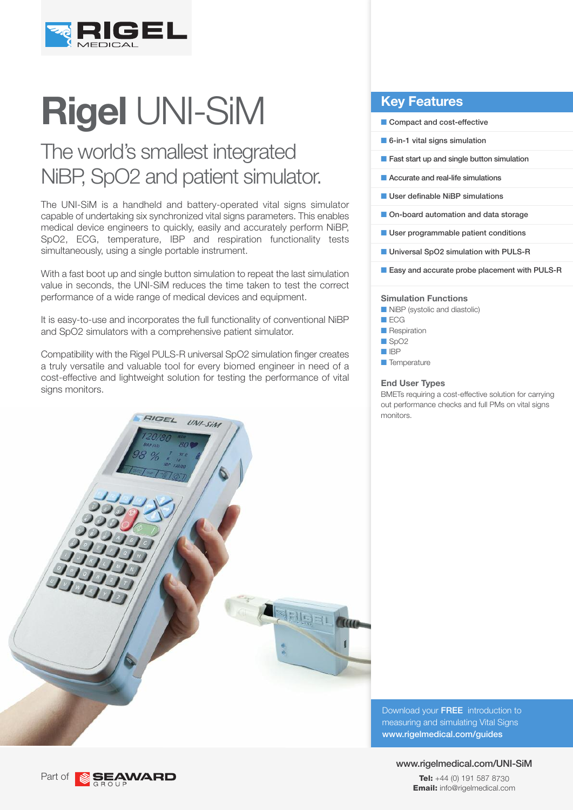

# **Rigel** UNI-SiM

# The world's smallest integrated NiBP, SpO2 and patient simulator.

The UNI-SiM is a handheld and battery-operated vital signs simulator capable of undertaking six synchronized vital signs parameters. This enables medical device engineers to quickly, easily and accurately perform NiBP, SpO2, ECG, temperature, IBP and respiration functionality tests simultaneously, using a single portable instrument.

With a fast boot up and single button simulation to repeat the last simulation value in seconds, the UNI-SiM reduces the time taken to test the correct performance of a wide range of medical devices and equipment.

It is easy-to-use and incorporates the full functionality of conventional NiBP and SpO2 simulators with a comprehensive patient simulator.

Compatibility with the Rigel PULS-R universal SpO2 simulation finger creates a truly versatile and valuable tool for every biomed engineer in need of a cost-effective and lightweight solution for testing the performance of vital signs monitors.



## **Key Features**

- Compact and cost-effective
- $\blacksquare$  6-in-1 vital signs simulation
- $\blacksquare$  Fast start up and single button simulation
- **n** Accurate and real-life simulations
- **N** User definable NiBP simulations
- **n** On-board automation and data storage
- **N** User programmable patient conditions
- **N** Universal SpO2 simulation with PULS-R
- Easy and accurate probe placement with PULS-R

#### **Simulation Functions**

**NiBP** (systolic and diastolic)

- $\Box$  ECG
- **n** Respiration
- $\Box$  SpO2
- n IBP
- **n** Temperature

#### **End User Types**

BMETs requiring a cost-effective solution for carrying out performance checks and full PMs on vital signs monitors.

Download your FREE introduction to measuring and simulating Vital Signs www.rigelmedical.com/guides

## www.rigelmedical.com/UNI-SiM

**Tel:** +44 (0) 191 587 8730 **Email:** info@rigelmedical.com

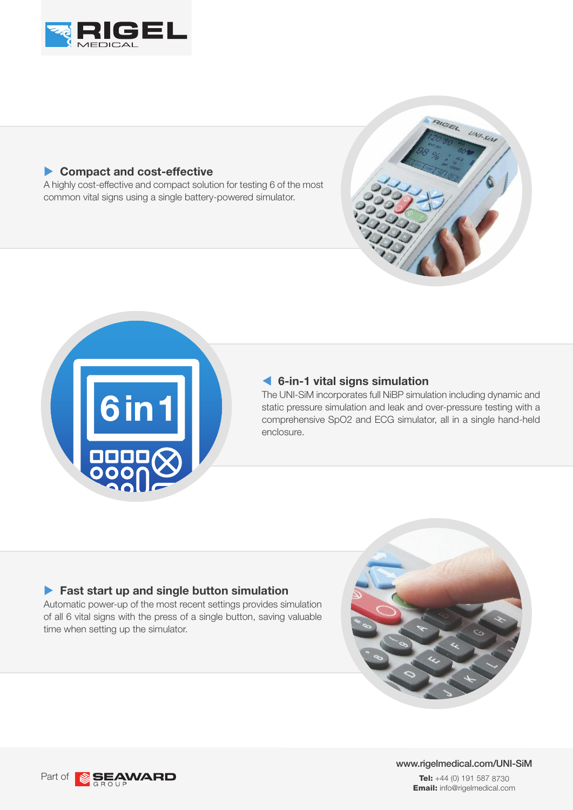

## **Compact and cost-effective**

A highly cost-effective and compact solution for testing 6 of the most common vital signs using a single battery-powered simulator.





## **6-in-1 vital signs simulation**

The UNI-SiM incorporates full NiBP simulation including dynamic and static pressure simulation and leak and over-pressure testing with a comprehensive SpO2 and ECG simulator, all in a single hand-held enclosure.

## **Fast start up and single button simulation**

Automatic power-up of the most recent settings provides simulation of all 6 vital signs with the press of a single button, saving valuable time when setting up the simulator.



www.rigelmedical.com/UNI-SiM **Tel:** +44 (0) 191 587 8730 **Email:** info@rigelmedical.com

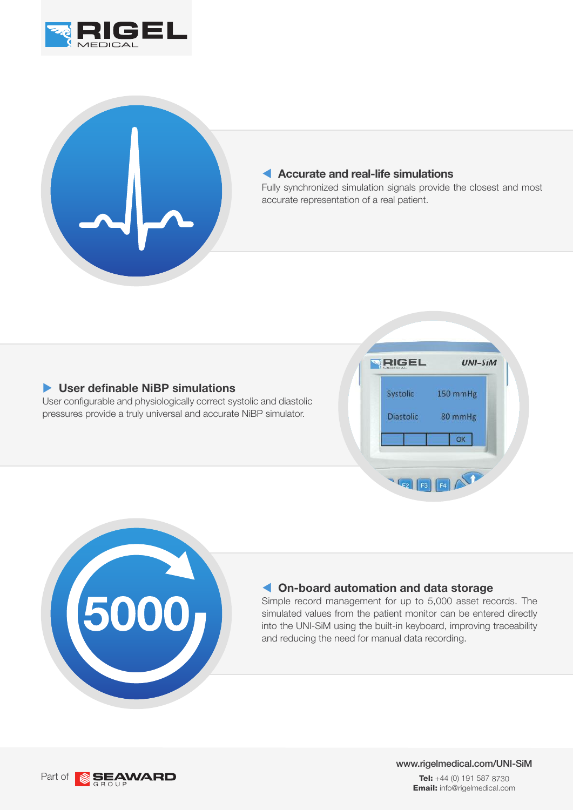



## **Accurate and real-life simulations**

Fully synchronized simulation signals provide the closest and most accurate representation of a real patient.

## ▶ User definable NiBP simulations

User configurable and physiologically correct systolic and diastolic pressures provide a truly universal and accurate NiBP simulator.





## **On-board automation and data storage**

Simple record management for up to 5,000 asset records. The simulated values from the patient monitor can be entered directly into the UNI-SiM using the built-in keyboard, improving traceability and reducing the need for manual data recording.



www.rigelmedical.com/UNI-SiM **Tel:** +44 (0) 191 587 8730 **Email:** info@rigelmedical.com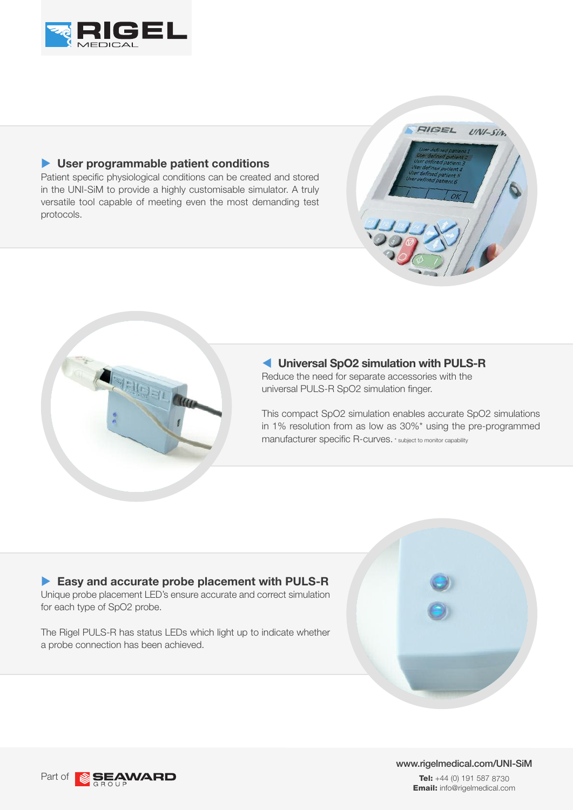

## ▶ User programmable patient conditions

Patient specific physiological conditions can be created and stored in the UNI-SiM to provide a highly customisable simulator. A truly versatile tool capable of meeting even the most demanding test protocols.





## **Universal SpO2 simulation with PULS-R**

Reduce the need for separate accessories with the universal PULS-R SpO2 simulation finger.

This compact SpO2 simulation enables accurate SpO2 simulations in 1% resolution from as low as 30%\* using the pre-programmed manufacturer specific R-curves. \* subject to monitor capability

## u **Easy and accurate probe placement with PULS-R** Unique probe placement LED's ensure accurate and correct simulation for each type of SpO2 probe.

The Rigel PULS-R has status LEDs which light up to indicate whether a probe connection has been achieved.





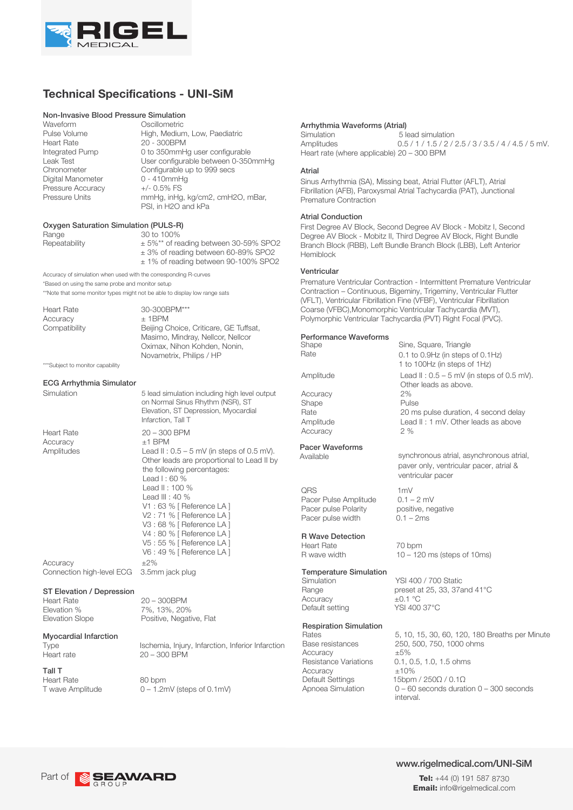

## **Technical Specifications - UNI-SiM**

## **Non-Invasive Blood Pressure Simulation**<br>Waveform Cscillometric

Waveform Oscillometric<br>Pulse Volume High, Mediur Heart Rate 20 - 300BPM<br>Integrated Pump 0 to 350mmH Digital Manometer Pressure Accuracy  $+/- 0.5\%$  FS<br>Pressure Units mmHa. in Ha

Pulse Volume **High, Medium, Low, Paediatric**<br>
Heart Rate **20 - 300BPM** 0 to 350mmHg user configurable Leak Test **Leak Test** User configurable between 0-350mmHg Chronometer Configurable up to 999 secs<br>
Digital Manometer 0 - 410mmHg mmHg, inHg, kg/cm2, cmH2O, mBar, PSI, in H2O and kPa

#### Oxygen Saturation Simulation (PULS-R)

Repeatability

Range 30 to 100% ± 5%\*\* of reading between 30-59% SPO2 ± 3% of reading between 60-89% SPO2 ± 1% of reading between 90-100% SPO2

Accuracy of simulation when used with the corresponding R-curves \*Based on using the same probe and monitor setup \*\*Note that some monitor types might not be able to display low range sats

Heart Rate 30-300BPM\*\*\*

Accuracy  $\pm$  1BPM Compatibility Beijing Choice, Criticare, GE Tuffsat, Masimo, Mindray, Nellcor, Nellcor Oximax, Nihon Kohden, Nonin, Novametrix, Philips / HP

\*\*\*Subject to monitor capability

#### ECG Arrhythmia Simulator

Simulation

Accuracy  $\pm 1$  BPM

Accuracy  $\pm 2\%$ <br>Connection high-level ECG 3.5mm jack plug Connection high-level ECG

#### ST Elevation / Depression

Elevation % 7%, 13%, 20%<br>Elevation Slope Positive. Negat

# **Myocardial Infarction**<br>Type

Tall T Heart Rate  $80$  bpm<br>T wave Amplitude  $0 - 1.2r$ 

Heart Rate 20 – 300 BPM Amplitudes Lead II : 0.5 – 5 mV (in steps of 0.5 mV). Other leads are proportional to Lead II by Elevation, ST Depression, Myocardial Infarction, Tall T the following percentages: Lead I: 60 % Lead II : 100 %

5 lead simulation including high level output on Normal Sinus Rhythm (NSR), ST

Lead III : 40 % V1 : 63 % [ Reference LA ] V2 : 71 % [ Reference LA ] V3 : 68 % [ Reference LA ] V4 : 80 % [ Reference LA ] V5 : 55 % [ Reference LA ] V6 : 49 % [ Reference LA ]

Heart Rate 20 – 300BPM Positive, Negative, Flat

Type Ischemia, Injury, Infarction, Inferior Infarction<br>
Heart rate  $20 - 300$  BPM  $20 - 300$  BPM

 $0 - 1.2$ mV (steps of 0.1mV)

#### Arrhythmia Waveforms (Atrial)

 5 lead simulation  $0.5 / 1 / 1.5 / 2 / 2.5 / 3 / 3.5 / 4 / 4.5 / 5$  mV. **Simulation** Amplitudes Heart rate (where applicable) 20 – 300 BPM

#### Atrial

Sinus Arrhythmia (SA), Missing beat, Atrial Flutter (AFLT), Atrial Fibrillation (AFB), Paroxysmal Atrial Tachycardia (PAT), Junctional Premature Contraction

#### Atrial Conduction

First Degree AV Block, Second Degree AV Block - Mobitz I, Second Degree AV Block - Mobitz II, Third Degree AV Block, Right Bundle Branch Block (RBB), Left Bundle Branch Block (LBB), Left Anterior Hemiblock

#### Ventricular

Premature Ventricular Contraction - Intermittent Premature Ventricular Contraction – Continuous, Bigeminy, Trigeminy, Ventricular Flutter (VFLT), Ventricular Fibrillation Fine (VFBF), Ventricular Fibrillation Coarse (VFBC),Monomorphic Ventricular Tachycardia (MVT), Polymorphic Ventricular Tachycardia (PVT) Right Focal (PVC).

Sine, Square, Triangle

#### Performance Waveforms

Shape Rate Accuracy Shape Pulse Accuracy 2 %

0.1 to 0.9Hz (in steps of 0.1Hz) 1 to 100Hz (in steps of 1Hz) Amplitude Lead II : 0.5 – 5 mV (in steps of 0.5 mV). Other leads as above.<br>2% Rate 20 ms pulse duration, 4 second delay Amplitude Lead II: 1 mV. Other leads as above

# Pacer Waveforms<br>Available

QRS 1mV<br>Pacer Pulse Amplitude 0.1 – 2 mV Pacer Pulse Amplitude 0.1 – 2 mV<br>Pacer pulse Polarity positive, negative Pacer pulse Polarity Pacer pulse width  $0.1 - 2$ ms

#### R Wave Detection

Heart Rate 70 bpm<br>R wave width  $10-120$ 

#### Temperature Simulation

Accuracy  $\pm 0.1 \text{ °C}$ <br>Default setting YSI 400 37°C Default setting

#### Respiration Simulation

Accuracy  $\pm 5\%$ <br>Resistance Variations 0.1, 0 Accuracy  $\pm 10\%$ <br>Default Settings 15bpm

synchronous atrial, asynchronous atrial, paver only, ventricular pacer, atrial & ventricular pacer

 $10 - 120$  ms (steps of 10ms)

Simulation YSI 400 / 700 Static<br>Range preset at 25, 33, 37a preset at 25, 33, 37and 41°C

Rates 5, 10, 15, 30, 60, 120, 180 Breaths per Minute<br>  $\frac{1}{250}$  500, 750, 1000 obms 250, 500, 750, 1000 ohms 0.1, 0.5, 1.0, 1.5 ohms Default Settings 15bpm / 250Ω / 0.1Ω<br>Apnoea Simulation 0 – 60 seconds durati  $0 - 60$  seconds duration  $0 - 300$  seconds interval.